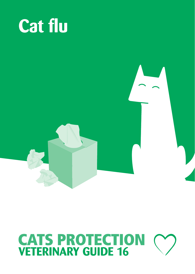

# **CATS PROTECTION**<br>**VETERINARY GUIDE 16**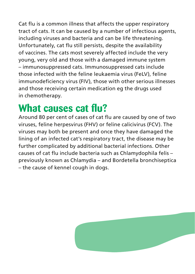Cat flu is a common illness that affects the upper respiratory tract of cats. It can be caused by a number of infectious agents, including viruses and bacteria and can be life threatening. Unfortunately, cat flu still persists, despite the availability of vaccines. The cats most severely affected include the very young, very old and those with a damaged immune system – immunosuppressed cats. Immunosuppressed cats include those infected with the feline leukaemia virus (FeLV), feline immunodeficiency virus (FIV), those with other serious illnesses and those receiving certain medication eg the drugs used in chemotherapy.

### **What causes cat flu?**

Around 80 per cent of cases of cat flu are caused by one of two viruses, feline herpesvirus (FHV) or feline calicivirus (FCV). The viruses may both be present and once they have damaged the lining of an infected cat's respiratory tract, the disease may be further complicated by additional bacterial infections. Other causes of cat flu include bacteria such as Chlamydophila felis – previously known as Chlamydia – and Bordetella bronchiseptica – the cause of kennel cough in dogs.

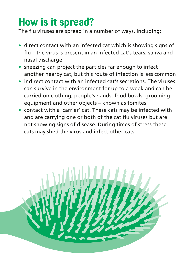#### **How is it spread?**

The flu viruses are spread in a number of ways, including:

- **•** direct contact with an infected cat which is showing signs of flu – the virus is present in an infected cat's tears, saliva and nasal discharge
- **•** sneezing can project the particles far enough to infect another nearby cat, but this route of infection is less common
- **•** indirect contact with an infected cat's secretions. The viruses can survive in the environment for up to a week and can be carried on clothing, people's hands, food bowls, grooming equipment and other objects – known as fomites
- **•** contact with a 'carrier' cat. These cats may be infected with and are carrying one or both of the cat flu viruses but are not showing signs of disease. During times of stress these cats may shed the virus and infect other cats

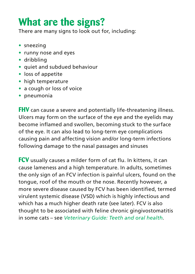#### **What are the signs?**

There are many signs to look out for, including:

- **•** sneezing
- **•** runny nose and eyes
- **•** dribbling
- **•** quiet and subdued behaviour
- **•** loss of appetite
- **•** high temperature
- **•** a cough or loss of voice
- **•** pneumonia

**FHV** can cause a severe and potentially life-threatening illness. Ulcers may form on the surface of the eye and the eyelids may become inflamed and swollen, becoming stuck to the surface of the eye. It can also lead to long-term eye complications causing pain and affecting vision and/or long-term infections following damage to the nasal passages and sinuses

**FCV** usually causes a milder form of cat flu. In kittens, it can cause lameness and a high temperature. In adults, sometimes the only sign of an FCV infection is painful ulcers, found on the tongue, roof of the mouth or the nose. Recently however, a more severe disease caused by FCV has been identified, termed virulent systemic disease (VSD) which is highly infectious and which has a much higher death rate (see later). FCV is also thought to be associated with feline chronic gingivostomatitis in some cats – see *Veterinary Guide: Teeth and oral health*.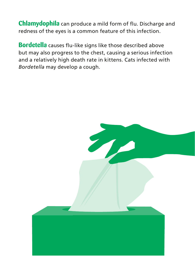**Chlamydophila** can produce a mild form of flu. Discharge and redness of the eyes is a common feature of this infection.

**Bordetella** causes flu-like signs like those described above but may also progress to the chest, causing a serious infection and a relatively high death rate in kittens. Cats infected with *Bordetella* may develop a cough.

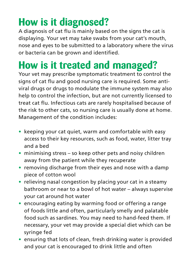# **How is it diagnosed?**

A diagnosis of cat flu is mainly based on the signs the cat is displaying. Your vet may take swabs from your cat's mouth, nose and eyes to be submitted to a laboratory where the virus or bacteria can be grown and identified.

### **How is it treated and managed?**

Your vet may prescribe symptomatic treatment to control the signs of cat flu and good nursing care is required. Some antiviral drugs or drugs to modulate the immune system may also help to control the infection, but are not currently licensed to treat cat flu. Infectious cats are rarely hospitalised because of the risk to other cats, so nursing care is usually done at home. Management of the condition includes:

- **•** keeping your cat quiet, warm and comfortable with easy access to their key resources, such as food, water, litter tray and a bed
- **•** minimising stress so keep other pets and noisy children away from the patient while they recuperate
- **•** removing discharge from their eyes and nose with a damp piece of cotton wool
- **•** relieving nasal congestion by placing your cat in a steamy bathroom or near to a bowl of hot water – always supervise your cat around hot water
- **•** encouraging eating by warming food or offering a range of foods little and often, particularly smelly and palatable food such as sardines. You may need to hand-feed them. If necessary, your vet may provide a special diet which can be syringe fed
- **•** ensuring that lots of clean, fresh drinking water is provided and your cat is encouraged to drink little and often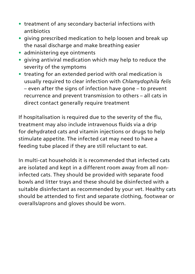- **•** treatment of any secondary bacterial infections with antibiotics
- **•** giving prescribed medication to help loosen and break up the nasal discharge and make breathing easier
- **•** administering eye ointments
- **•** giving antiviral medication which may help to reduce the severity of the symptoms
- **•** treating for an extended period with oral medication is usually required to clear infection with *Chlamydophila felis* – even after the signs of infection have gone – to prevent recurrence and prevent transmission to others – all cats in direct contact generally require treatment

If hospitalisation is required due to the severity of the flu, treatment may also include intravenous fluids via a drip for dehydrated cats and vitamin injections or drugs to help stimulate appetite. The infected cat may need to have a feeding tube placed if they are still reluctant to eat.

In multi-cat households it is recommended that infected cats are isolated and kept in a different room away from all noninfected cats. They should be provided with separate food bowls and litter trays and these should be disinfected with a suitable disinfectant as recommended by your vet. Healthy cats should be attended to first and separate clothing, footwear or overalls/aprons and gloves should be worn.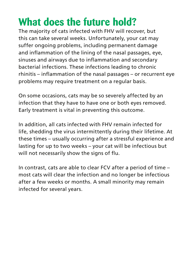# **What does the future hold?**

The majority of cats infected with FHV will recover, but this can take several weeks. Unfortunately, your cat may suffer ongoing problems, including permanent damage and inflammation of the lining of the nasal passages, eye, sinuses and airways due to inflammation and secondary bacterial infections. These infections leading to chronic rhinitis – inflammation of the nasal passages – or recurrent eye problems may require treatment on a regular basis.

On some occasions, cats may be so severely affected by an infection that they have to have one or both eyes removed. Early treatment is vital in preventing this outcome.

In addition, all cats infected with FHV remain infected for life, shedding the virus intermittently during their lifetime. At these times – usually occurring after a stressful experience and lasting for up to two weeks – your cat will be infectious but will not necessarily show the signs of flu.

In contrast, cats are able to clear FCV after a period of time – most cats will clear the infection and no longer be infectious after a few weeks or months. A small minority may remain infected for several years.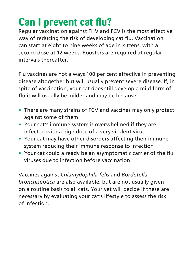# **Can I prevent cat flu?**

Regular vaccination against FHV and FCV is the most effective way of reducing the risk of developing cat flu. Vaccination can start at eight to nine weeks of age in kittens, with a second dose at 12 weeks. Boosters are required at regular intervals thereafter.

Flu vaccines are not always 100 per cent effective in preventing disease altogether but will usually prevent severe disease. If, in spite of vaccination, your cat does still develop a mild form of flu it will usually be milder and may be because:

- **•** There are many strains of FCV and vaccines may only protect against some of them
- **•** Your cat's immune system is overwhelmed if they are infected with a high dose of a very virulent virus
- **•** Your cat may have other disorders affecting their immune system reducing their immune response to infection
- **•** Your cat could already be an asymptomatic carrier of the flu viruses due to infection before vaccination

Vaccines against *Chlamydophila felis* and *Bordetella bronchiseptica* are also available, but are not usually given on a routine basis to all cats. Your vet will decide if these are necessary by evaluating your cat's lifestyle to assess the risk of infection.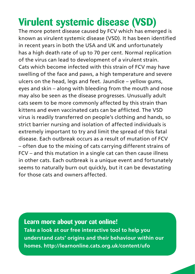# **Virulent systemic disease (VSD)**

The more potent disease caused by FCV which has emerged is known as virulent systemic disease (VSD). It has been identified in recent years in both the USA and UK and unfortunately has a high death rate of up to 70 per cent. Normal replication of the virus can lead to development of a virulent strain. Cats which become infected with this strain of FCV may have swelling of the face and paws, a high temperature and severe ulcers on the head, legs and feet. Jaundice – yellow gums, eyes and skin – along with bleeding from the mouth and nose may also be seen as the disease progresses. Unusually adult cats seem to be more commonly affected by this strain than kittens and even vaccinated cats can be afflicted. The VSD virus is readily transferred on people's clothing and hands, so strict barrier nursing and isolation of affected individuals is extremely important to try and limit the spread of this fatal disease. Each outbreak occurs as a result of mutation of FCV – often due to the mixing of cats carrying different strains of FCV – and this mutation in a single cat can then cause illness in other cats. Each outbreak is a unique event and fortunately seems to naturally burn out quickly, but it can be devastating for those cats and owners affected.

**Learn more about your cat online! Take a look at our free interactive tool to help you understand cats' origins and their behaviour within our homes. http://learnonline.cats.org.uk/content/ufo**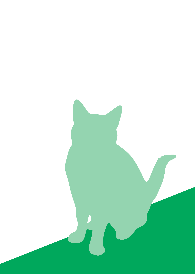